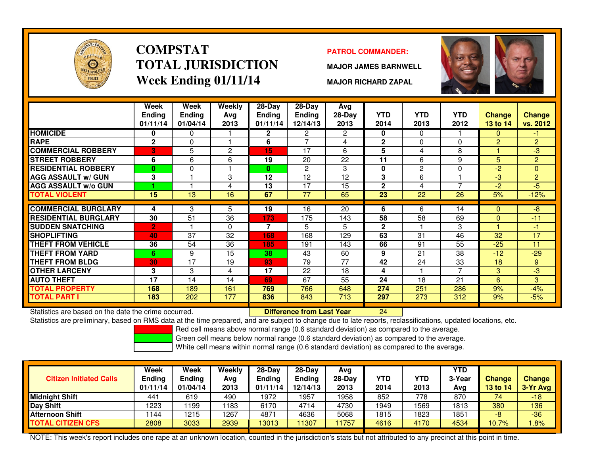

### **COMPSTATTOTAL JURISDICTIONWeek Ending 01/11/14**

#### **PATROL COMMANDER:**

**MAJOR JAMES BARNWELL**

**MAJOR RICHARD ZAPAL**



|                             | Week         | Week          | Weekly          | $28-Day$      | $28-Day$       | Avg      |              |              |                |               |                |
|-----------------------------|--------------|---------------|-----------------|---------------|----------------|----------|--------------|--------------|----------------|---------------|----------------|
|                             | Ending       | <b>Endina</b> | Avg             | <b>Endina</b> | <b>Ending</b>  | $28-Day$ | <b>YTD</b>   | <b>YTD</b>   | <b>YTD</b>     | <b>Change</b> | <b>Change</b>  |
|                             | 01/11/14     | 01/04/14      | 2013            | 01/11/14      | 12/14/13       | 2013     | 2014         | 2013         | 2012           | 13 to 14      | vs. 2012       |
| <b>HOMICIDE</b>             | 0            | $\Omega$      |                 | $\mathbf{2}$  | 2              | 2        | 0            | $\mathbf{0}$ |                | 0             | $-1$           |
| <b>RAPE</b>                 | $\mathbf{2}$ | $\mathbf{0}$  |                 | 6             | $\overline{ }$ | 4        | $\mathbf{2}$ | $\Omega$     | $\Omega$       | 2             | $\overline{2}$ |
| <b>COMMERCIAL ROBBERY</b>   | 3            | 5             | 2               | 15            | 17             | 6        | 5            | 4            | 8              |               | $-3$           |
| <b>STREET ROBBERY</b>       | 6            | 6             | 6               | 19            | 20             | 22       | 11           | 6            | 9              | 5             | $\overline{2}$ |
| <b>RESIDENTIAL ROBBERY</b>  | $\mathbf{0}$ | $\Omega$      |                 | $\mathbf{0}$  | 2              | 3        | 0            | 2            | $\Omega$       | $-2$          | $\Omega$       |
| <b>AGG ASSAULT w/ GUN</b>   | 3            |               | 3               | 12            | 12             | 12       | 3            | 6            |                | $-3$          | $\overline{2}$ |
| <b>AGG ASSAULT w/o GUN</b>  |              |               | 4               | 13            | 17             | 15       | $\mathbf{2}$ | 4            | $\overline{ }$ | $-2$          | $-5$           |
| <b>TOTAL VIOLENT</b>        | 15           | 13            | 16              | 67            | 77             | 65       | 23           | 22           | 26             | 5%            | $-12%$         |
|                             |              |               |                 |               |                |          |              |              |                |               |                |
| <b>COMMERCIAL BURGLARY</b>  | 4            | 3             | 5               | 19            | 16             | 20       | 6            | 6            | 14             | $\Omega$      | -8             |
| <b>RESIDENTIAL BURGLARY</b> | 30           | 51            | 36              | 173           | 175            | 143      | 58           | 58           | 69             | $\Omega$      | $-11$          |
| <b>SUDDEN SNATCHING</b>     | 2            |               | 0               | 7             | 5              | 5.       | $\mathbf{2}$ |              | 3              |               | $-1$           |
| <b>SHOPLIFTING</b>          | 40           | 37            | 32              | 168           | 168            | 129      | 63           | 31           | 46             | 32            | 17             |
| <b>THEFT FROM VEHICLE</b>   | 36           | 54            | 36              | 185           | 191            | 143      | 66           | 91           | 55             | $-25$         | 11             |
| <b>THEFT FROM YARD</b>      | 6.           | 9             | $\overline{15}$ | 38            | 43             | 60       | 9            | 21           | 38             | $-12$         | $-29$          |
| <b>THEFT FROM BLDG</b>      | 30           | 17            | 19              | 93            | 79             | 77       | 42           | 24           | 33             | 18            | 9              |
| <b>OTHER LARCENY</b>        | 3            | 3             | 4               | 17            | 22             | 18       | 4            |              | 7              | 3             | لې.            |
| <b>AUTO THEFT</b>           | 17           | 14            | 14              | 69            | 67             | 55       | 24           | 18           | 21             | 6             | 3              |
| <b>TOTAL PROPERTY</b>       | 168          | 189           | 161             | 769           | 766            | 648      | 274          | 251          | 286            | 9%            | $-4%$          |
| <b>TOTAL PART I</b>         | 183          | 202           | 177             | 836           | 843            | 713      | 297          | 273          | 312            | 9%            | $-5%$          |
|                             |              |               |                 |               |                |          |              |              |                |               |                |

Statistics are based on the date the crime occurred. **Difference from Last Year** 

Statistics are based on the date the crime occurred. **[20] Later Lubber Liberence from Last Year New 1944 Later**<br>Statistics are preliminary, based on RMS data at the time prepared, and are subject to change due to late rep

Red cell means above normal range (0.6 standard deviation) as compared to the average.

Green cell means below normal range (0.6 standard deviation) as compared to the average.

White cell means within normal range (0.6 standard deviation) as compared to the average.

| <b>Citizen Initiated Calls</b> | Week<br><b>Ending</b><br>01/11/14 | Week<br><b>Ending</b><br>01/04/14 | Weekly<br>Avg<br>2013 | 28-Day<br><b>Ending</b><br>01/11/14 | $28$ -Dav<br>Ending<br>12/14/13 | Avg<br>28-Dav<br>2013 | YTD<br>2014 | YTD<br>2013 | <b>YTD</b><br>3-Year<br>Avg | <b>Change</b><br>13 to 14 | <b>Change</b><br>3-Yr Avg |
|--------------------------------|-----------------------------------|-----------------------------------|-----------------------|-------------------------------------|---------------------------------|-----------------------|-------------|-------------|-----------------------------|---------------------------|---------------------------|
| Midnight Shift                 | 441                               | 619                               | 490                   | 1972                                | 1957                            | 1958                  | 852         | 778         | 870                         | 74                        | $-18$                     |
| Day Shift                      | 1223                              | 199                               | 183                   | 6170                                | 4714                            | 4730                  | 1949        | 569         | 1813                        | 380                       | 136                       |
| <b>Afternoon Shift</b>         | 1144                              | 1215                              | 1267                  | 4871                                | 4636                            | 5068                  | 1815        | 823         | 1851                        | -8                        | $-36$                     |
| TOTAL CITIZEN CFS              | 2808                              | 3033                              | 2939                  | 13013                               | 1307                            | 1757                  | 4616        | 4170        | 4534                        | 10.7%                     | .8%                       |

NOTE: This week's report includes one rape at an unknown location, counted in the jurisdiction's stats but not attributed to any precinct at this point in time.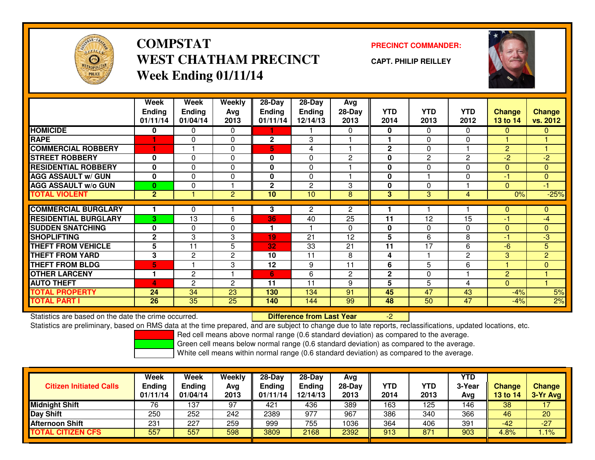

# **COMPSTATWEST CHATHAM PRECINCTWeek Ending 01/11/14**

### **PRECINCT COMMANDER:**

**CAPT. PHILIP REILLEY**



|                             | Week<br><b>Ending</b><br>01/11/14 | Week<br><b>Ending</b><br>01/04/14 | Weekly<br>Ava<br>2013 | $28-Day$<br>Ending<br>01/11/14 | $28$ -Day<br><b>Ending</b><br>12/14/13 | Avg<br>$28-Day$<br>2013 | <b>YTD</b><br>2014 | <b>YTD</b><br>2013 | <b>YTD</b><br>2012 | Change<br>13 to 14 | <b>Change</b><br>vs. 2012 |
|-----------------------------|-----------------------------------|-----------------------------------|-----------------------|--------------------------------|----------------------------------------|-------------------------|--------------------|--------------------|--------------------|--------------------|---------------------------|
| <b>HOMICIDE</b>             | 0                                 | 0                                 | 0                     |                                |                                        | $\Omega$                | 0                  | $\Omega$           | 0                  | $\mathbf{0}$       | $\mathbf{0}$              |
| <b>RAPE</b>                 |                                   | 0                                 | 0                     | $\mathbf{2}$                   | 3                                      |                         |                    | $\Omega$           | 0                  |                    |                           |
| <b>COMMERCIAL ROBBERY</b>   | н                                 |                                   | 0                     | 5                              | 4                                      |                         | $\mathbf{2}$       | $\Omega$           |                    | $\overline{2}$     |                           |
| <b>STREET ROBBERY</b>       | 0                                 | 0                                 | 0                     | 0                              | 0                                      | $\overline{2}$          | 0                  | $\mathbf{2}$       | 2                  | $-2$               | $-2$                      |
| <b>RESIDENTIAL ROBBERY</b>  | $\bf{0}$                          | $\Omega$                          | $\Omega$              | $\mathbf{0}$                   | $\Omega$                               |                         | $\mathbf 0$        | $\Omega$           | 0                  | $\Omega$           | $\mathbf{0}$              |
| <b>AGG ASSAULT w/ GUN</b>   | $\bf{0}$                          | $\Omega$                          | 0                     | 0                              | $\Omega$                               |                         | $\mathbf 0$        |                    | 0                  | -1                 | $\mathbf{0}$              |
| <b>AGG ASSAULT w/o GUN</b>  | $\bf{0}$                          | $\Omega$                          |                       | $\mathbf{2}$                   | $\mathbf{2}$                           | 3                       | $\mathbf{0}$       | $\Omega$           |                    | $\Omega$           | $-1$                      |
| <b>TOTAL VIOLENT</b>        | $\overline{2}$                    |                                   | $\overline{2}$        | 10                             | 10                                     | 8                       | 3                  | 3                  | 4                  | 0%                 | $-25%$                    |
|                             |                                   |                                   |                       |                                |                                        |                         |                    |                    |                    |                    |                           |
| <b>COMMERCIAL BURGLARY</b>  |                                   | 0                                 |                       | 3                              | 2                                      | $\overline{2}$          |                    |                    |                    | $\mathbf 0$        | 0                         |
| <b>RESIDENTIAL BURGLARY</b> | 3                                 | 13                                | 6                     | 36                             | 40                                     | $\overline{25}$         | 11                 | 12                 | 15                 | $-1$               | -4                        |
| <b>ISUDDEN SNATCHING</b>    | $\bf{0}$                          | 0                                 | 0                     |                                |                                        | $\Omega$                | 0                  | $\Omega$           | 0                  | $\Omega$           | $\mathbf{0}$              |
| <b>SHOPLIFTING</b>          | $\mathbf{2}$                      | 3                                 | 3                     | 19                             | 21                                     | 12                      | 5                  | 6                  | 8                  | -1                 | -3                        |
| <b>THEFT FROM VEHICLE</b>   | 5                                 | 11                                | 5                     | 32                             | 33                                     | 21                      | 11                 | 17                 | 6                  | $-6$               | 5                         |
| <b>THEFT FROM YARD</b>      | 3                                 | $\mathbf{2}$                      | $\mathbf{2}$          | 10                             | 11                                     | 8                       | 4                  |                    | $\overline{2}$     | 3                  | $\overline{2}$            |
| <b>THEFT FROM BLDG</b>      | 5                                 |                                   | 3                     | 12                             | 9                                      | 11                      | 6                  | 5                  | 6                  | н                  | $\Omega$                  |
| <b>OTHER LARCENY</b>        | 1                                 | $\mathbf{2}$                      | н                     | 6                              | 6                                      | $\mathbf{2}$            | $\mathbf 2$        | 0                  |                    | $\overline{c}$     |                           |
| <b>AUTO THEFT</b>           | $\Delta$                          | $\overline{c}$                    | $\mathbf{2}$          | 11                             | 11                                     | 9                       | 5                  | 5                  | 4                  | $\Omega$           |                           |
| <b>TOTAL PROPERTY</b>       | 24                                | 34                                | 23                    | 130                            | 134                                    | 91                      | 45                 | 47                 | 43                 | $-4%$              | 5%                        |
| <b>TOTAL PART I</b>         | 26                                | 35                                | 25                    | 140                            | 144                                    | 99                      | 48                 | 50                 | 47                 | $-4%$              | 2%                        |

Statistics are based on the date the crime occurred. **Difference from Last Year** 

Statistics are based on the date the crime occurred.<br>Statistics are preliminary, based on RMS data at the time prepared, and are subject to change due to late reports, reclassifications, updated locations, etc.

Red cell means above normal range (0.6 standard deviation) as compared to the average.

Green cell means below normal range (0.6 standard deviation) as compared to the average.

| <b>Citizen Initiated Calls</b> | Week<br><b>Ending</b><br>01/11/14 | Week<br><b>Ending</b><br>01/04/14 | Weekly<br>Avg<br>2013 | $28-Day$<br><b>Ending</b><br>01/11/14 | 28-Day<br>Ending<br>12/14/13 | Avg<br>28-Day<br>2013 | YTD<br>2014 | YTD<br>2013 | <b>YTD</b><br>3-Year<br>Avg | <b>Change</b><br>13 to 14 | <b>Change</b><br>3-Yr Avg |
|--------------------------------|-----------------------------------|-----------------------------------|-----------------------|---------------------------------------|------------------------------|-----------------------|-------------|-------------|-----------------------------|---------------------------|---------------------------|
| <b>Midnight Shift</b>          | 76                                | 137                               | 97                    | 421                                   | 436                          | 389                   | 163         | 125         | 146                         | 38                        | 17                        |
| Day Shift                      | 250                               | 252                               | 242                   | 2389                                  | 977                          | 967                   | 386         | 340         | 366                         | 46                        | 20                        |
| <b>Afternoon Shift</b>         | 231                               | 227                               | 259                   | 999                                   | 755                          | 1036                  | 364         | 406         | 391                         | -42                       | $-27$                     |
| <b>TOTAL CITIZEN CFS</b>       | 557                               | 557                               | 598                   | 3809                                  | 2168                         | 2392                  | 913         | 871         | 903                         | 4.8%                      | $1.1\%$                   |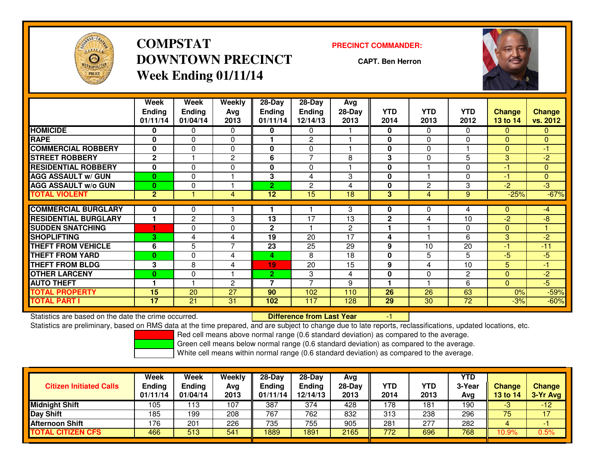

# **COMPSTATDOWNTOWN PRECINCTWeek Ending 01/11/14**

#### **PRECINCT COMMANDER:**

**CAPT. Ben Herron**



|                             | Week<br><b>Ending</b><br>01/11/14 | Week<br><b>Ending</b><br>01/04/14 | Weekly<br>Avg<br>2013 | $28-Day$<br><b>Ending</b><br>01/11/14 | 28-Day<br><b>Ending</b><br>12/14/13 | Avg<br>$28-Day$<br>2013 | <b>YTD</b><br>2014 | <b>YTD</b><br>2013 | <b>YTD</b><br>2012 | <b>Change</b><br>13 to 14 | <b>Change</b><br>vs. 2012 |
|-----------------------------|-----------------------------------|-----------------------------------|-----------------------|---------------------------------------|-------------------------------------|-------------------------|--------------------|--------------------|--------------------|---------------------------|---------------------------|
| <b>HOMICIDE</b>             | 0                                 | 0                                 | $\Omega$              | 0                                     | 0                                   |                         | 0                  | $\Omega$           | 0                  | $\mathbf{0}$              | $\mathbf{0}$              |
| <b>RAPE</b>                 | 0                                 | $\Omega$                          | $\Omega$              |                                       | 2                                   |                         | $\bf{0}$           | $\Omega$           | $\Omega$           | $\Omega$                  | $\Omega$                  |
| <b>COMMERCIAL ROBBERY</b>   | 0                                 | 0                                 | $\Omega$              | 0                                     | 0                                   |                         | $\mathbf{0}$       | $\mathbf{0}$       |                    | $\Omega$                  | $-1$                      |
| <b>STREET ROBBERY</b>       | $\mathbf{2}$                      |                                   | $\overline{2}$        | 6                                     | $\overline{7}$                      | 8                       | 3                  | $\mathbf{0}$       | 5                  | 3                         | $-2$                      |
| <b>RESIDENTIAL ROBBERY</b>  | $\bf{0}$                          | $\Omega$                          | $\Omega$              | 0                                     | $\Omega$                            |                         | $\bf{0}$           |                    | $\Omega$           | $-1$                      | $\mathbf{0}$              |
| <b>AGG ASSAULT w/ GUN</b>   | $\mathbf{0}$                      | 0                                 |                       | 3                                     | 4                                   | 3                       | 0                  |                    | 0                  | $-1$                      | $\mathbf{0}$              |
| <b>AGG ASSAULT w/o GUN</b>  | $\bf{0}$                          | $\Omega$                          |                       | $\overline{2}$                        | 2                                   | 4                       | 0                  | 2                  | 3                  | $-2$                      | -3                        |
| <b>TOTAL VIOLENT</b>        | $\overline{2}$                    |                                   | 4                     | 12 <sub>2</sub>                       | 15                                  | 18                      | 3                  | 4                  | 9                  | $-25%$                    | $-67%$                    |
| <b>COMMERCIAL BURGLARY</b>  | 0                                 | 0                                 |                       |                                       |                                     | 3                       | 0                  | 0                  | 4                  | 0                         | -4                        |
| <b>RESIDENTIAL BURGLARY</b> |                                   | $\overline{2}$                    | 3                     | 13                                    | 17                                  | 13                      | 2                  | 4                  | 10                 | $-2$                      | -8                        |
| <b>SUDDEN SNATCHING</b>     |                                   | 0                                 | $\Omega$              | 2                                     |                                     | $\overline{2}$          |                    |                    | 0                  | $\Omega$                  |                           |
| <b>SHOPLIFTING</b>          | 3.                                | 4                                 | 4                     | 19                                    | 20                                  | 17                      | 4                  |                    | 6                  | 3                         | $-2$                      |
| <b>THEFT FROM VEHICLE</b>   | 6                                 | 5                                 | $\overline{7}$        | 23                                    | 25                                  | 29                      | 9                  | 10                 | 20                 | -1                        | $-11$                     |
| <b>THEFT FROM YARD</b>      | $\mathbf{0}$                      | $\Omega$                          | 4                     | 4                                     | 8                                   | 18                      | 0                  | 5                  | 5                  | $-5$                      | $-5$                      |
| <b>THEFT FROM BLDG</b>      | 3                                 |                                   |                       | 19                                    | 20                                  | 15                      |                    | 4                  | 10                 |                           | $-1$                      |
|                             |                                   | 8                                 | 4                     |                                       |                                     |                         | 9                  |                    |                    | 5                         |                           |
| <b>OTHER LARCENY</b>        | $\bf{0}$                          | 0                                 |                       | $\mathbf{2}$                          | 3<br>$\overline{\phantom{a}}$       | 4                       | 0                  | $\mathbf{0}$       | 2                  | $\Omega$                  | $-2$                      |
| <b>AUTO THEFT</b>           |                                   |                                   | 2                     | 7                                     |                                     | 9                       |                    |                    | 6                  | $\Omega$                  | $-5$                      |
| <b>TOTAL PROPERTY</b>       | 15                                | 20                                | 27                    | 90                                    | 102                                 | 110                     | 26                 | 26                 | 63                 | 0%                        | $-59%$                    |
| TOTAL PART I                | 17                                | 21                                | 31                    | 102                                   | 117                                 | 128                     | 29                 | 30                 | $\overline{72}$    | $-3%$                     | $-60%$                    |

Statistics are based on the date the crime occurred. **Difference from Last Year** 

Statistics are based on the date the crime occurred.<br>Statistics are preliminary, based on RMS data at the time prepared, and are subject to change due to late reports, reclassifications, updated locations, etc.

Red cell means above normal range (0.6 standard deviation) as compared to the average.

Green cell means below normal range (0.6 standard deviation) as compared to the average.

| <b>Citizen Initiated Calls</b> | Week<br><b>Ending</b><br>01/11/14 | Week<br><b>Ending</b><br>01/04/14 | Weekly<br>Avg<br>2013 | $28-Day$<br><b>Ending</b><br>01/11/14 | $28-Day$<br><b>Ending</b><br>12/14/13 | Avg<br>28-Day<br>2013 | YTD<br>2014 | YTD<br>2013 | <b>YTD</b><br>3-Year<br>Avg | <b>Change</b><br><b>13 to 14</b> | <b>Change</b><br>3-Yr Avg |
|--------------------------------|-----------------------------------|-----------------------------------|-----------------------|---------------------------------------|---------------------------------------|-----------------------|-------------|-------------|-----------------------------|----------------------------------|---------------------------|
| <b>Midnight Shift</b>          | 105                               | 13                                | 107                   | 387                                   | 374                                   | 428                   | 178         | 181         | 190                         | -3                               | $-12$                     |
| Day Shift                      | 185                               | 199                               | 208                   | 767                                   | 762                                   | 832                   | 313         | 238         | 296                         | 75                               | 17                        |
| <b>Afternoon Shift</b>         | 176                               | 20 <sup>1</sup>                   | 226                   | 735                                   | 755                                   | 905                   | 281         | 277         | 282                         |                                  |                           |
| <b>TOTAL CITIZEN CFS</b>       | 466                               | 513                               | 541                   | 1889                                  | 1891                                  | 2165                  | 772         | 696         | 768                         | 10.9%                            | 0.5%                      |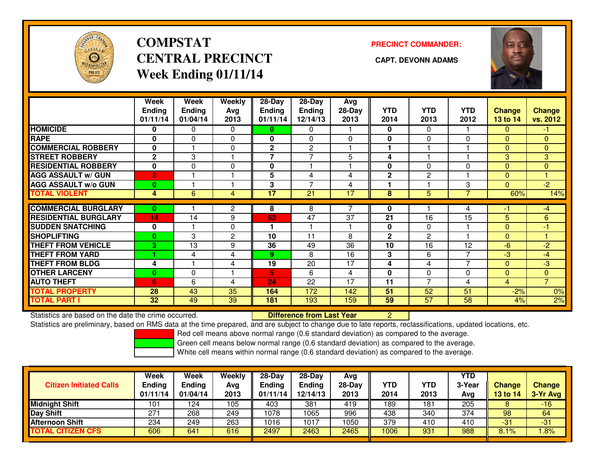

# **COMPSTATCENTRAL PRECINCT** CAPT. DEVONN ADAMS **Week Ending 01/11/14**

### **PRECINCT COMMANDER:**



|                             | Week<br><b>Ending</b><br>01/11/14 | Week<br><b>Ending</b><br>01/04/14 | Weekly<br>Avg<br>2013 | 28-Day<br><b>Ending</b><br>01/11/14 | 28-Day<br><b>Ending</b><br>12/14/13 | Avg<br>$28-Day$<br>2013 | <b>YTD</b><br>2014 | <b>YTD</b><br>2013 | <b>YTD</b><br>2012 | Change<br><b>13 to 14</b> | <b>Change</b><br>vs. 2012 |
|-----------------------------|-----------------------------------|-----------------------------------|-----------------------|-------------------------------------|-------------------------------------|-------------------------|--------------------|--------------------|--------------------|---------------------------|---------------------------|
| <b>HOMICIDE</b>             | 0                                 | 0                                 | $\Omega$              | 0                                   | $\mathbf{0}$                        |                         | $\bf{0}$           | $\mathbf{0}$       |                    | $\Omega$                  | $-1$                      |
| <b>RAPE</b>                 | 0                                 | $\Omega$                          | 0                     | 0                                   | $\Omega$                            | 0                       | $\mathbf{0}$       | $\Omega$           | $\Omega$           | $\Omega$                  | $\mathbf{0}$              |
| <b>COMMERCIAL ROBBERY</b>   | $\bf{0}$                          |                                   | 0                     | $\mathbf{2}$                        | $\overline{2}$                      |                         | 1                  |                    |                    | $\Omega$                  | $\mathbf{0}$              |
| <b>STREET ROBBERY</b>       | $\mathbf{2}$                      | 3                                 |                       | 7                                   | $\overline{ }$                      | 5                       | 4                  |                    |                    | 3                         | 3                         |
| <b>RESIDENTIAL ROBBERY</b>  | $\mathbf 0$                       | $\Omega$                          | $\mathbf{0}$          | 0                                   |                                     |                         | 0                  | $\Omega$           | 0                  | $\Omega$                  | $\Omega$                  |
| <b>AGG ASSAULT w/ GUN</b>   | $\overline{2}$                    |                                   |                       | 5                                   | 4                                   | 4                       | $\mathbf{2}$       | 2                  |                    | $\Omega$                  | 4                         |
| <b>AGG ASSAULT w/o GUN</b>  | $\bf{0}$                          |                                   |                       | 3                                   | $\overline{7}$                      | 4                       | ٠                  |                    | 3                  | $\Omega$                  | $-2$                      |
| <b>TOTAL VIOLENT</b>        | 4                                 | 6                                 | 4                     | $\overline{17}$                     | $\overline{21}$                     | 17                      | 8                  | 5                  | 7                  | 60%                       | 14%                       |
| <b>COMMERCIAL BURGLARY</b>  | 0                                 |                                   | 2                     | 8                                   | 8                                   |                         | 0                  |                    | 4                  | -1                        | $-4$                      |
| <b>RESIDENTIAL BURGLARY</b> | 14                                | 14                                | 9                     | 52                                  | 47                                  | 37                      | 21                 | 16                 | $\overline{15}$    | 5                         | 6                         |
| <b>SUDDEN SNATCHING</b>     | $\mathbf{0}$                      |                                   | 0                     |                                     |                                     |                         | 0                  | $\Omega$           |                    | $\Omega$                  | -1                        |
| <b>SHOPLIFTING</b>          | $\bf{0}$                          | 3                                 | $\mathbf{2}$          | 10                                  | 11                                  | 8                       | $\mathbf{2}$       | 2                  |                    | $\Omega$                  |                           |
| <b>THEFT FROM VEHICLE</b>   | 3                                 | 13                                | 9                     | 36                                  | 49                                  | 36                      | 10                 | 16                 | 12                 | $-6$                      | $-2$                      |
| <b>THEFT FROM YARD</b>      |                                   | 4                                 | 4                     | 9                                   | 8                                   | 16                      | 3                  | 6                  | $\overline{7}$     | $-3$                      | $-4$                      |
| <b>THEFT FROM BLDG</b>      | 4                                 |                                   | 4                     | 19                                  | 20                                  | 17                      | 4                  | 4                  | $\overline{7}$     | $\Omega$                  | $-3$                      |
| <b>OTHER LARCENY</b>        | $\bf{0}$                          | $\Omega$                          | ۴                     | 5                                   | 6                                   | 4                       | 0                  | $\Omega$           | $\Omega$           | $\Omega$                  | $\overline{0}$            |
| <b>AUTO THEFT</b>           | 6                                 | 6                                 | 4                     | 24                                  | 22                                  | 17                      | 11                 | ⇁                  | 4                  | 4                         | $\overline{7}$            |
| <b>TOTAL PROPERTY</b>       | 28                                | 43                                | 35                    | 164                                 | 172                                 | 142                     | 51                 | 52                 | 51                 | $-2%$                     | 0%                        |
| <b>TOTAL PART I</b>         | 32                                | 49                                | 39                    | 181                                 | 193                                 | 159                     | 59                 | 57                 | 58                 | 4%                        | 2%                        |

Statistics are based on the date the crime occurred. **Difference from Last Year** 

<u>r 2</u>

Statistics are preliminary, based on RMS data at the time prepared, and are subject to change due to late reports, reclassifications, updated locations, etc.

Red cell means above normal range (0.6 standard deviation) as compared to the average.

Green cell means below normal range (0.6 standard deviation) as compared to the average.

| <b>Citizen Initiated Calls</b> | Week<br>Ending<br>01/11/14 | Week<br>Ending<br>01/04/14 | <b>Weekly</b><br>Avg<br>2013 | $28-Day$<br><b>Ending</b><br>01/11/14 | $28 - Day$<br><b>Ending</b><br>12/14/13 | Avg<br>28-Day<br>2013 | YTD<br>2014 | YTD<br>2013 | <b>YTD</b><br>3-Year<br>Avg | Change<br><b>13 to 14</b> | <b>Change</b><br>3-Yr Avg |
|--------------------------------|----------------------------|----------------------------|------------------------------|---------------------------------------|-----------------------------------------|-----------------------|-------------|-------------|-----------------------------|---------------------------|---------------------------|
| Midnight Shift                 | 101                        | 124                        | 105                          | 403                                   | 381                                     | 419                   | 189         | 181         | 205                         |                           | $-16$                     |
| Day Shift                      | 271                        | 268                        | 249                          | 1078                                  | 1065                                    | 996                   | 438         | 340         | 374                         | 98                        | 64                        |
| <b>Afternoon Shift</b>         | 234                        | 249                        | 263                          | 1016                                  | 1017                                    | 1050                  | 379         | 410         | 410                         | $-31$                     | $-31$                     |
| <b>TOTAL CITIZEN CFS</b>       | 606                        | 641                        | 616                          | 2497                                  | 2463                                    | 2465                  | 1006        | 931         | 988                         | 8.1%                      | .8%                       |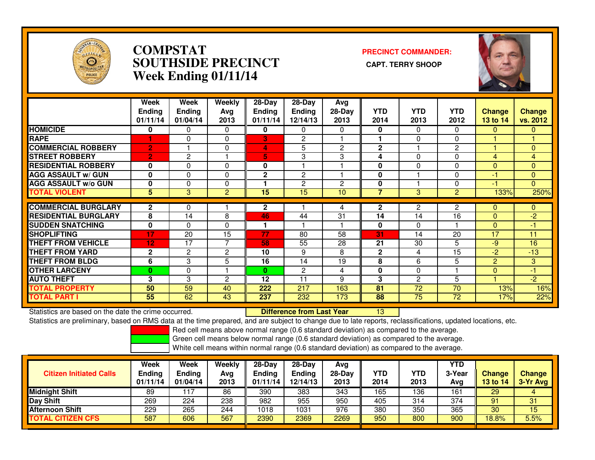

### **COMPSTAT PRECINCT COMMANDER: SOUTHSIDE PRECINCT CAPT. TERRY SHOOPWeek Ending 01/11/14**



|                             | Week<br><b>Ending</b><br>01/11/14 | Week<br><b>Ending</b><br>01/04/14 | Weekly<br>Ava<br>2013 | $28-Day$<br><b>Ending</b><br>01/11/14 | 28-Day<br><b>Ending</b><br>12/14/13 | Avg<br>$28-Day$<br>2013 | <b>YTD</b><br>2014 | <b>YTD</b><br>2013 | <b>YTD</b><br>2012 | <b>Change</b><br><b>13 to 14</b> | Change<br>vs. 2012 |
|-----------------------------|-----------------------------------|-----------------------------------|-----------------------|---------------------------------------|-------------------------------------|-------------------------|--------------------|--------------------|--------------------|----------------------------------|--------------------|
| <b>HOMICIDE</b>             | 0                                 | 0                                 | $\Omega$              | 0                                     | 0                                   | $\Omega$                | $\bf{0}$           | $\Omega$           | 0                  | $\mathbf{0}$                     | $\mathbf{0}$       |
| <b>RAPE</b>                 |                                   | 0                                 | 0                     | 3                                     | $\overline{2}$                      |                         |                    | 0                  | 0                  |                                  |                    |
| <b>COMMERCIAL ROBBERY</b>   | $\overline{2}$                    |                                   | $\Omega$              | 4                                     | 5                                   | $\overline{2}$          | $\overline{2}$     |                    | $\overline{2}$     |                                  | $\Omega$           |
| <b>STREET ROBBERY</b>       | $\overline{2}$                    | 2                                 |                       | 5                                     | 3                                   | 3                       | 4                  | $\Omega$           | 0                  | 4                                | $\overline{4}$     |
| <b>RESIDENTIAL ROBBERY</b>  | $\bf{0}$                          | $\Omega$                          | $\Omega$              | $\mathbf 0$                           |                                     |                         | $\mathbf{0}$       | $\Omega$           | 0                  | $\Omega$                         | $\Omega$           |
| <b>AGG ASSAULT w/ GUN</b>   | $\mathbf 0$                       | 0                                 | 0                     | $\mathbf{2}$                          | 2                                   |                         | 0                  |                    | 0                  | -1                               | $\Omega$           |
| <b>AGG ASSAULT w/o GUN</b>  | $\mathbf{0}$                      | 0                                 | 0                     |                                       | 2                                   | $\overline{2}$          | 0                  |                    | 0                  | -1                               | $\Omega$           |
| <b>TOTAL VIOLENT</b>        | 5                                 | 3                                 | 2                     | 15                                    | 15                                  | 10                      | 7                  | 3                  | $\overline{2}$     | 133%                             | 250%               |
| <b>COMMERCIAL BURGLARY</b>  | $\mathbf{2}$                      | 0                                 |                       | 2                                     |                                     | 4                       | $\mathbf{2}$       | 2                  | 2                  | $\mathbf 0$                      | $\mathbf{0}$       |
|                             |                                   |                                   |                       |                                       |                                     |                         |                    |                    |                    |                                  |                    |
| <b>RESIDENTIAL BURGLARY</b> | 8                                 | 14                                | 8                     | 46                                    | 44                                  | 31                      | 14                 | 14                 | 16                 | $\Omega$                         | $-2$               |
| <b>SUDDEN SNATCHING</b>     | $\mathbf 0$                       | 0                                 | 0                     |                                       |                                     |                         | $\mathbf{0}$       | $\Omega$           |                    | $\Omega$                         | -1                 |
| <b>SHOPLIFTING</b>          | 17                                | 20                                | 15                    | 77                                    | 80                                  | 58                      | 31                 | 14                 | 20                 | 17                               | 11                 |
| <b>THEFT FROM VEHICLE</b>   | 12                                | 17                                | 7                     | 58                                    | 55                                  | 28                      | 21                 | 30                 | 5                  | -9                               | 16                 |
| <b>THEFT FROM YARD</b>      | $\mathbf{2}$                      | $\overline{c}$                    | 2                     | 10                                    | 9                                   | 8                       | $\mathbf{2}$       | 4                  | 15                 | $-2$                             | $-13$              |
| <b>THEFT FROM BLDG</b>      | 6                                 | 3                                 | 5                     | 16                                    | 14                                  | 19                      | 8                  | 6                  | 5                  | $\overline{2}$                   | 3 <sup>°</sup>     |
| <b>OTHER LARCENY</b>        | $\bf{0}$                          | 0                                 |                       | $\bf{0}$                              | 2                                   | 4                       | 0                  | 0                  |                    | $\mathbf{0}$                     | $-1$               |
| <b>AUTO THEFT</b>           | 3                                 | 3                                 | 2                     | 12                                    | 11                                  | 9                       | 3                  | $\overline{2}$     | 5                  |                                  | $-2$               |
| <b>TOTAL PROPERTY</b>       | 50                                | 59                                | 40                    | 222                                   | 217                                 | 163                     | 81                 | 72                 | 70                 | 13%                              | 16%                |
| <b>TOTAL PART I</b>         | 55                                | 62                                | 43                    | 237                                   | 232                                 | 173                     | 88                 | $\overline{75}$    | 72                 | 17%                              | 22%                |

Statistics are based on the date the crime occurred. **Difference from Last Year** Statistics are based on the date the crime occurred. **Externee the Difference from Last Year [13]**<br>Statistics are preliminary, based on RMS data at the time prepared, and are subject to change due to late reports, reclassi

Red cell means above normal range (0.6 standard deviation) as compared to the average.

Green cell means below normal range (0.6 standard deviation) as compared to the average.

| <b>Citizen Initiated Calls</b> | Week<br><b>Ending</b><br>01/11/14 | <b>Week</b><br>Ending<br>01/04/14 | Weekly<br>Avg<br>2013 | 28-Dav<br>Ending<br>01/11/14 | $28-Dav$<br><b>Ending</b><br>12/14/13 | Avg<br>$28-Day$<br>2013 | <b>YTD</b><br>2014 | YTD<br>2013 | <b>YTD</b><br>3-Year<br>Avg | <b>Change</b><br>13 to 14 | <b>Change</b><br>3-Yr Avg |
|--------------------------------|-----------------------------------|-----------------------------------|-----------------------|------------------------------|---------------------------------------|-------------------------|--------------------|-------------|-----------------------------|---------------------------|---------------------------|
| <b>Midnight Shift</b>          | 89                                | 117                               | 86                    | 390                          | 383                                   | 343                     | 165                | 136         | 161                         | 29                        |                           |
| Day Shift                      | 269                               | 224                               | 238                   | 982                          | 955                                   | 950                     | 405                | 314         | 374                         | 91                        | 31                        |
| <b>Afternoon Shift</b>         | 229                               | 265                               | 244                   | 1018                         | 1031                                  | 976                     | 380                | 350         | 365                         | 30                        | 15                        |
| <b>CITIZEN CFS</b><br>ΓΟΤΑL    | 587                               | 606                               | 567                   | 2390                         | 2369                                  | 2269                    | 950                | 800         | 900                         | 18.8%                     | 5.5%                      |